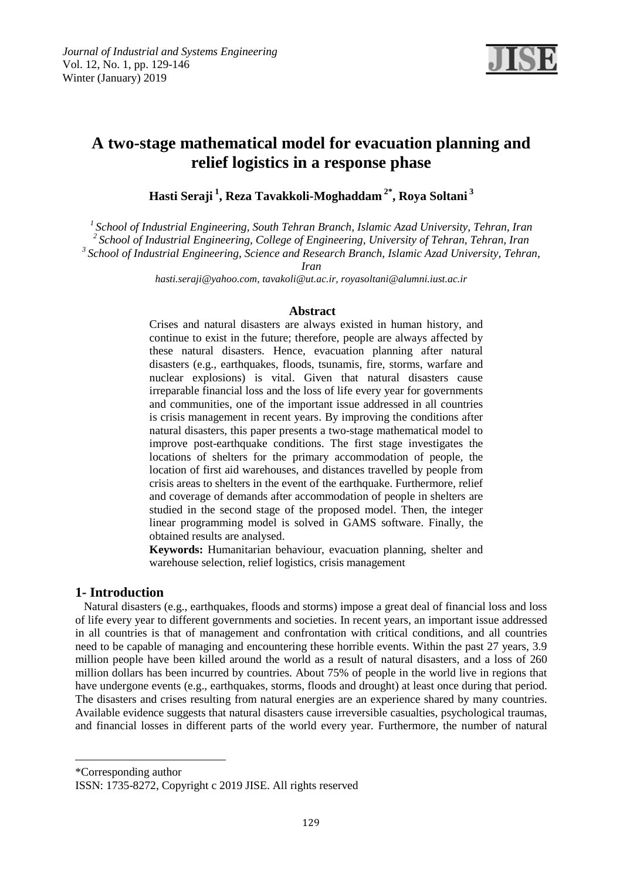

# **A two-stage mathematical model for evacuation planning and relief logistics in a response phase**

**Hasti Seraji <sup>1</sup> , Reza Tavakkoli-Moghaddam 2\* , Roya Soltani <sup>3</sup>**

*<sup>1</sup>School of Industrial Engineering, South Tehran Branch, Islamic Azad University, Tehran, Iran <sup>2</sup>School of Industrial Engineering, College of Engineering, University of Tehran, Tehran, Iran*

*<sup>3</sup>School of Industrial Engineering, Science and Research Branch, Islamic Azad University, Tehran,* 

*Iran*

*[hasti.seraji@yahoo.com,](mailto:hasti.seraji@yahoo.com) tavakoli@ut.ac.ir, royasoltani@alumni.iust.ac.ir*

### **Abstract**

Crises and natural disasters are always existed in human history, and continue to exist in the future; therefore, people are always affected by these natural disasters. Hence, evacuation planning after natural disasters (e.g., earthquakes, floods, tsunamis, fire, storms, warfare and nuclear explosions) is vital. Given that natural disasters cause irreparable financial loss and the loss of life every year for governments and communities, one of the important issue addressed in all countries is crisis management in recent years. By improving the conditions after natural disasters, this paper presents a two-stage mathematical model to improve post-earthquake conditions. The first stage investigates the locations of shelters for the primary accommodation of people, the location of first aid warehouses, and distances travelled by people from crisis areas to shelters in the event of the earthquake. Furthermore, relief and coverage of demands after accommodation of people in shelters are studied in the second stage of the proposed model. Then, the integer linear programming model is solved in GAMS software. Finally, the obtained results are analysed.

**Keywords:** Humanitarian behaviour, evacuation planning, shelter and warehouse selection, relief logistics, crisis management

### **1- Introduction**

 Natural disasters (e.g., earthquakes, floods and storms) impose a great deal of financial loss and loss of life every year to different governments and societies. In recent years, an important issue addressed in all countries is that of management and confrontation with critical conditions, and all countries need to be capable of managing and encountering these horrible events. Within the past 27 years, 3.9 million people have been killed around the world as a result of natural disasters, and a loss of 260 million dollars has been incurred by countries. About 75% of people in the world live in regions that have undergone events (e.g., earthquakes, storms, floods and drought) at least once during that period. The disasters and crises resulting from natural energies are an experience shared by many countries. Available evidence suggests that natural disasters cause irreversible casualties, psychological traumas, and financial losses in different parts of the world every year. Furthermore, the number of natural

\*Corresponding author

1

ISSN: 1735-8272, Copyright c 2019 JISE. All rights reserved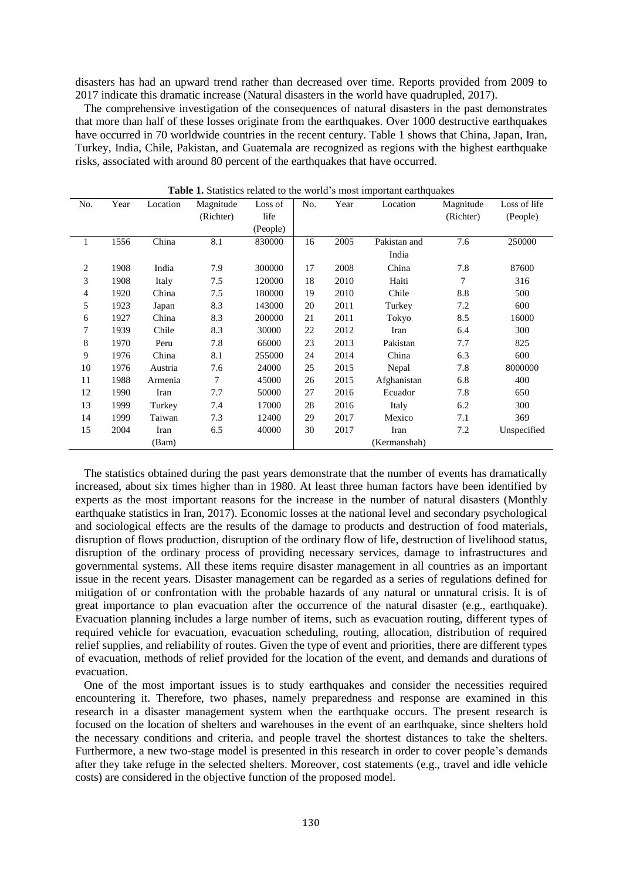disasters has had an upward trend rather than decreased over time. Reports provided from 2009 to 2017 indicate this dramatic increase (Natural disasters in the world have quadrupled, 2017).

 The comprehensive investigation of the consequences of natural disasters in the past demonstrates that more than half of these losses originate from the earthquakes. Over 1000 destructive earthquakes have occurred in 70 worldwide countries in the recent century. Table 1 shows that China, Japan, Iran, Turkey, India, Chile, Pakistan, and Guatemala are recognized as regions with the highest earthquake risks, associated with around 80 percent of the earthquakes that have occurred.

| No. | Year | Location | Magnitude | Loss of  | No. | Year | Location     | Magnitude | Loss of life |
|-----|------|----------|-----------|----------|-----|------|--------------|-----------|--------------|
|     |      |          | (Richter) | life     |     |      |              | (Richter) | (People)     |
|     |      |          |           | (People) |     |      |              |           |              |
| 1   | 1556 | China    | 8.1       | 830000   | 16  | 2005 | Pakistan and | 7.6       | 250000       |
|     |      |          |           |          |     |      | India        |           |              |
| 2   | 1908 | India    | 7.9       | 300000   | 17  | 2008 | China        | 7.8       | 87600        |
| 3   | 1908 | Italy    | 7.5       | 120000   | 18  | 2010 | Haiti        | 7         | 316          |
| 4   | 1920 | China    | 7.5       | 180000   | 19  | 2010 | Chile        | 8.8       | 500          |
| 5   | 1923 | Japan    | 8.3       | 143000   | 20  | 2011 | Turkey       | 7.2       | 600          |
| 6   | 1927 | China    | 8.3       | 200000   | 21  | 2011 | Tokyo        | 8.5       | 16000        |
| 7   | 1939 | Chile    | 8.3       | 30000    | 22  | 2012 | Iran         | 6.4       | 300          |
| 8   | 1970 | Peru     | 7.8       | 66000    | 23  | 2013 | Pakistan     | 7.7       | 825          |
| 9   | 1976 | China    | 8.1       | 255000   | 24  | 2014 | China        | 6.3       | 600          |
| 10  | 1976 | Austria  | 7.6       | 24000    | 25  | 2015 | Nepal        | 7.8       | 8000000      |
| 11  | 1988 | Armenia  | 7         | 45000    | 26  | 2015 | Afghanistan  | 6.8       | 400          |
| 12  | 1990 | Iran     | 7.7       | 50000    | 27  | 2016 | Ecuador      | 7.8       | 650          |
| 13  | 1999 | Turkey   | 7.4       | 17000    | 28  | 2016 | Italy        | 6.2       | 300          |
| 14  | 1999 | Taiwan   | 7.3       | 12400    | 29  | 2017 | Mexico       | 7.1       | 369          |
| 15  | 2004 | Iran     | 6.5       | 40000    | 30  | 2017 | Iran         | 7.2       | Unspecified  |
|     |      | (Bam)    |           |          |     |      | (Kermanshah) |           |              |

**Table 1.** Statistics related to the world's most important earthquakes

 The statistics obtained during the past years demonstrate that the number of events has dramatically increased, about six times higher than in 1980. At least three human factors have been identified by experts as the most important reasons for the increase in the number of natural disasters (Monthly earthquake statistics in Iran, 2017). Economic losses at the national level and secondary psychological and sociological effects are the results of the damage to products and destruction of food materials, disruption of flows production, disruption of the ordinary flow of life, destruction of livelihood status, disruption of the ordinary process of providing necessary services, damage to infrastructures and governmental systems. All these items require disaster management in all countries as an important issue in the recent years. Disaster management can be regarded as a series of regulations defined for mitigation of or confrontation with the probable hazards of any natural or unnatural crisis. It is of great importance to plan evacuation after the occurrence of the natural disaster (e.g., earthquake). Evacuation planning includes a large number of items, such as evacuation routing, different types of required vehicle for evacuation, evacuation scheduling, routing, allocation, distribution of required relief supplies, and reliability of routes. Given the type of event and priorities, there are different types of evacuation, methods of relief provided for the location of the event, and demands and durations of evacuation.

 One of the most important issues is to study earthquakes and consider the necessities required encountering it. Therefore, two phases, namely preparedness and response are examined in this research in a disaster management system when the earthquake occurs. The present research is focused on the location of shelters and warehouses in the event of an earthquake, since shelters hold the necessary conditions and criteria, and people travel the shortest distances to take the shelters. Furthermore, a new two-stage model is presented in this research in order to cover people's demands after they take refuge in the selected shelters. Moreover, cost statements (e.g., travel and idle vehicle costs) are considered in the objective function of the proposed model.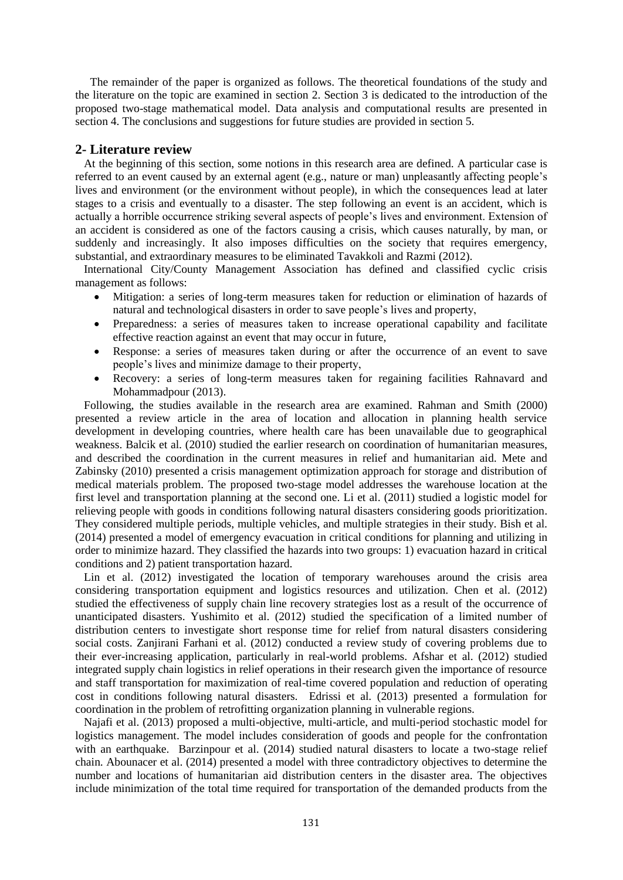The remainder of the paper is organized as follows. The theoretical foundations of the study and the literature on the topic are examined in section 2. Section 3 is dedicated to the introduction of the proposed two-stage mathematical model. Data analysis and computational results are presented in section 4. The conclusions and suggestions for future studies are provided in section 5.

#### **2- Literature review**

 At the beginning of this section, some notions in this research area are defined. A particular case is referred to an event caused by an external agent (e.g., nature or man) unpleasantly affecting people's lives and environment (or the environment without people), in which the consequences lead at later stages to a crisis and eventually to a disaster. The step following an event is an accident, which is actually a horrible occurrence striking several aspects of people's lives and environment. Extension of an accident is considered as one of the factors causing a crisis, which causes naturally, by man, or suddenly and increasingly. It also imposes difficulties on the society that requires emergency, substantial, and extraordinary measures to be eliminated Tavakkoli and Razmi (2012).

 International City/County Management Association has defined and classified cyclic crisis management as follows:

- Mitigation: a series of long-term measures taken for reduction or elimination of hazards of natural and technological disasters in order to save people's lives and property,
- Preparedness: a series of measures taken to increase operational capability and facilitate effective reaction against an event that may occur in future,
- Response: a series of measures taken during or after the occurrence of an event to save people's lives and minimize damage to their property,
- Recovery: a series of long-term measures taken for regaining facilities Rahnavard and Mohammadpour (2013).

 Following, the studies available in the research area are examined. Rahman and Smith (2000) presented a review article in the area of location and allocation in planning health service development in developing countries, where health care has been unavailable due to geographical weakness. Balcik et al. (2010) studied the earlier research on coordination of humanitarian measures, and described the coordination in the current measures in relief and humanitarian aid. Mete and Zabinsky (2010) presented a crisis management optimization approach for storage and distribution of medical materials problem. The proposed two-stage model addresses the warehouse location at the first level and transportation planning at the second one. Li et al. (2011) studied a logistic model for relieving people with goods in conditions following natural disasters considering goods prioritization. They considered multiple periods, multiple vehicles, and multiple strategies in their study. Bish et al. (2014) presented a model of emergency evacuation in critical conditions for planning and utilizing in order to minimize hazard. They classified the hazards into two groups: 1) evacuation hazard in critical conditions and 2) patient transportation hazard.

 Lin et al. (2012) investigated the location of temporary warehouses around the crisis area considering transportation equipment and logistics resources and utilization. Chen et al. (2012) studied the effectiveness of supply chain line recovery strategies lost as a result of the occurrence of unanticipated disasters. Yushimito et al. (2012) studied the specification of a limited number of distribution centers to investigate short response time for relief from natural disasters considering social costs. Zanjirani Farhani et al. (2012) conducted a review study of covering problems due to their ever-increasing application, particularly in real-world problems. Afshar et al. (2012) studied integrated supply chain logistics in relief operations in their research given the importance of resource and staff transportation for maximization of real-time covered population and reduction of operating cost in conditions following natural disasters. Edrissi et al. (2013) presented a formulation for coordination in the problem of retrofitting organization planning in vulnerable regions.

 Najafi et al. (2013) proposed a multi-objective, multi-article, and multi-period stochastic model for logistics management. The model includes consideration of goods and people for the confrontation with an earthquake. Barzinpour et al. (2014) studied natural disasters to locate a two-stage relief chain. Abounacer et al. (2014) presented a model with three contradictory objectives to determine the number and locations of humanitarian aid distribution centers in the disaster area. The objectives include minimization of the total time required for transportation of the demanded products from the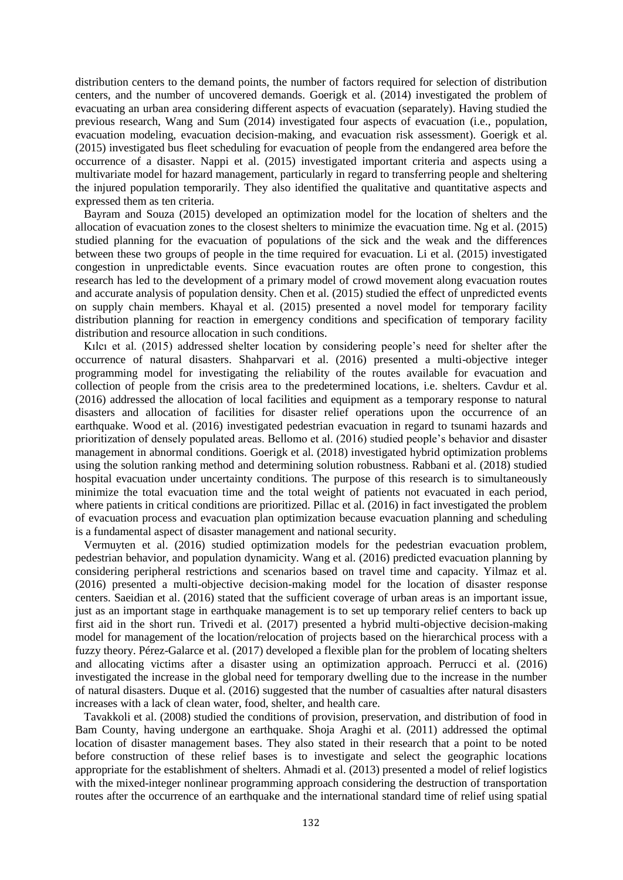distribution centers to the demand points, the number of factors required for selection of distribution centers, and the number of uncovered demands. Goerigk et al. (2014) investigated the problem of evacuating an urban area considering different aspects of evacuation (separately). Having studied the previous research, Wang and Sum (2014) investigated four aspects of evacuation (i.e., population, evacuation modeling, evacuation decision-making, and evacuation risk assessment). Goerigk et al. (2015) investigated bus fleet scheduling for evacuation of people from the endangered area before the occurrence of a disaster. Nappi et al. (2015) investigated important criteria and aspects using a multivariate model for hazard management, particularly in regard to transferring people and sheltering the injured population temporarily. They also identified the qualitative and quantitative aspects and expressed them as ten criteria.

 Bayram and Souza (2015) developed an optimization model for the location of shelters and the allocation of evacuation zones to the closest shelters to minimize the evacuation time. Ng et al. (2015) studied planning for the evacuation of populations of the sick and the weak and the differences between these two groups of people in the time required for evacuation. Li et al. (2015) investigated congestion in unpredictable events. Since evacuation routes are often prone to congestion, this research has led to the development of a primary model of crowd movement along evacuation routes and accurate analysis of population density. Chen et al. (2015) studied the effect of unpredicted events on supply chain members. Khayal et al. (2015) presented a novel model for temporary facility distribution planning for reaction in emergency conditions and specification of temporary facility distribution and resource allocation in such conditions.

 Kılcı et al. (2015) addressed shelter location by considering people's need for shelter after the occurrence of natural disasters. Shahparvari et al. (2016) presented a multi-objective integer programming model for investigating the reliability of the routes available for evacuation and collection of people from the crisis area to the predetermined locations, i.e. shelters. Cavdur et al. (2016) addressed the allocation of local facilities and equipment as a temporary response to natural disasters and allocation of facilities for disaster relief operations upon the occurrence of an earthquake. Wood et al. (2016) investigated pedestrian evacuation in regard to tsunami hazards and prioritization of densely populated areas. Bellomo et al. (2016) studied people's behavior and disaster management in abnormal conditions. Goerigk et al. (2018) investigated hybrid optimization problems using the solution ranking method and determining solution robustness. Rabbani et al. (2018) studied hospital evacuation under uncertainty conditions. The purpose of this research is to simultaneously minimize the total evacuation time and the total weight of patients not evacuated in each period, where patients in critical conditions are prioritized. Pillac et al. (2016) in fact investigated the problem of evacuation process and evacuation plan optimization because evacuation planning and scheduling is a fundamental aspect of disaster management and national security.

 Vermuyten et al. (2016) studied optimization models for the pedestrian evacuation problem, pedestrian behavior, and population dynamicity. Wang et al. (2016) predicted evacuation planning by considering peripheral restrictions and scenarios based on travel time and capacity. Yilmaz et al. (2016) presented a multi-objective decision-making model for the location of disaster response centers. Saeidian et al. (2016) stated that the sufficient coverage of urban areas is an important issue, just as an important stage in earthquake management is to set up temporary relief centers to back up first aid in the short run. Trivedi et al. (2017) presented a hybrid multi-objective decision-making model for management of the location/relocation of projects based on the hierarchical process with a fuzzy theory. Pérez-Galarce et al. (2017) developed a flexible plan for the problem of locating shelters and allocating victims after a disaster using an optimization approach. Perrucci et al. (2016) investigated the increase in the global need for temporary dwelling due to the increase in the number of natural disasters. Duque et al. (2016) suggested that the number of casualties after natural disasters increases with a lack of clean water, food, shelter, and health care.

 Tavakkoli et al. (2008) studied the conditions of provision, preservation, and distribution of food in Bam County, having undergone an earthquake. Shoja Araghi et al. (2011) addressed the optimal location of disaster management bases. They also stated in their research that a point to be noted before construction of these relief bases is to investigate and select the geographic locations appropriate for the establishment of shelters. Ahmadi et al. (2013) presented a model of relief logistics with the mixed-integer nonlinear programming approach considering the destruction of transportation routes after the occurrence of an earthquake and the international standard time of relief using spatial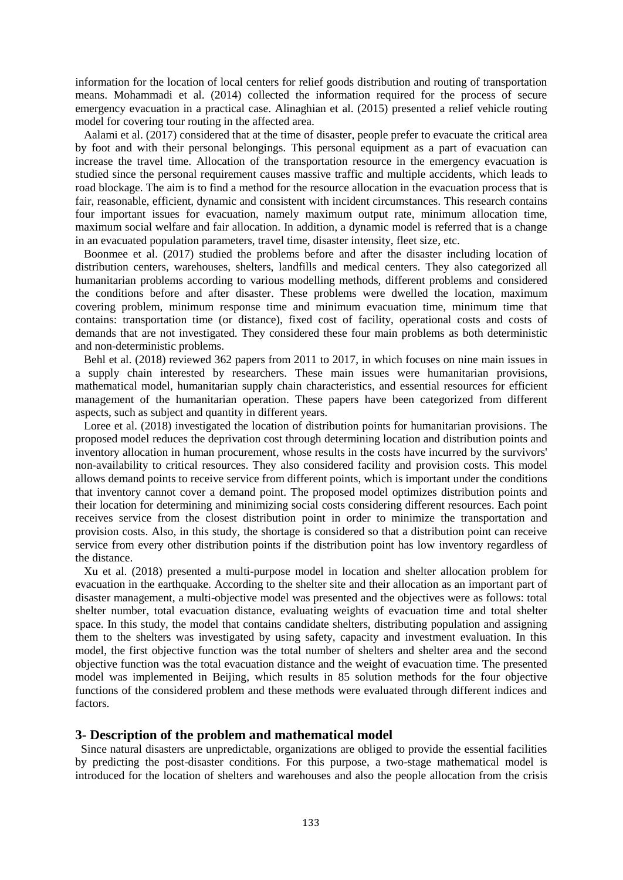information for the location of local centers for relief goods distribution and routing of transportation means. Mohammadi et al. (2014) collected the information required for the process of secure emergency evacuation in a practical case. Alinaghian et al. (2015) presented a relief vehicle routing model for covering tour routing in the affected area.

 Aalami et al. (2017) considered that at the time of disaster, people prefer to evacuate the critical area by foot and with their personal belongings. This personal equipment as a part of evacuation can increase the travel time. Allocation of the transportation resource in the emergency evacuation is studied since the personal requirement causes massive traffic and multiple accidents, which leads to road blockage. The aim is to find a method for the resource allocation in the evacuation process that is fair, reasonable, efficient, dynamic and consistent with incident circumstances. This research contains four important issues for evacuation, namely maximum output rate, minimum allocation time, maximum social welfare and fair allocation. In addition, a dynamic model is referred that is a change in an evacuated population parameters, travel time, disaster intensity, fleet size, etc.

 Boonmee et al. (2017) studied the problems before and after the disaster including location of distribution centers, warehouses, shelters, landfills and medical centers. They also categorized all humanitarian problems according to various modelling methods, different problems and considered the conditions before and after disaster. These problems were dwelled the location, maximum covering problem, minimum response time and minimum evacuation time, minimum time that contains: transportation time (or distance), fixed cost of facility, operational costs and costs of demands that are not investigated. They considered these four main problems as both deterministic and non-deterministic problems.

 Behl et al. (2018) reviewed 362 papers from 2011 to 2017, in which focuses on nine main issues in a supply chain interested by researchers. These main issues were humanitarian provisions, mathematical model, humanitarian supply chain characteristics, and essential resources for efficient management of the humanitarian operation. These papers have been categorized from different aspects, such as subject and quantity in different years.

Loree et al. (2018) investigated the location of distribution points for humanitarian provisions. The proposed model reduces the deprivation cost through determining location and distribution points and inventory allocation in human procurement, whose results in the costs have incurred by the survivors' non-availability to critical resources. They also considered facility and provision costs. This model allows demand points to receive service from different points, which is important under the conditions that inventory cannot cover a demand point. The proposed model optimizes distribution points and their location for determining and minimizing social costs considering different resources. Each point receives service from the closest distribution point in order to minimize the transportation and provision costs. Also, in this study, the shortage is considered so that a distribution point can receive service from every other distribution points if the distribution point has low inventory regardless of the distance.

 Xu et al. (2018) presented a multi-purpose model in location and shelter allocation problem for evacuation in the earthquake. According to the shelter site and their allocation as an important part of disaster management, a multi-objective model was presented and the objectives were as follows: total shelter number, total evacuation distance, evaluating weights of evacuation time and total shelter space. In this study, the model that contains candidate shelters, distributing population and assigning them to the shelters was investigated by using safety, capacity and investment evaluation. In this model, the first objective function was the total number of shelters and shelter area and the second objective function was the total evacuation distance and the weight of evacuation time. The presented model was implemented in Beijing, which results in 85 solution methods for the four objective functions of the considered problem and these methods were evaluated through different indices and factors.

#### **3- Description of the problem and mathematical model**

 Since natural disasters are unpredictable, organizations are obliged to provide the essential facilities by predicting the post-disaster conditions. For this purpose, a two-stage mathematical model is introduced for the location of shelters and warehouses and also the people allocation from the crisis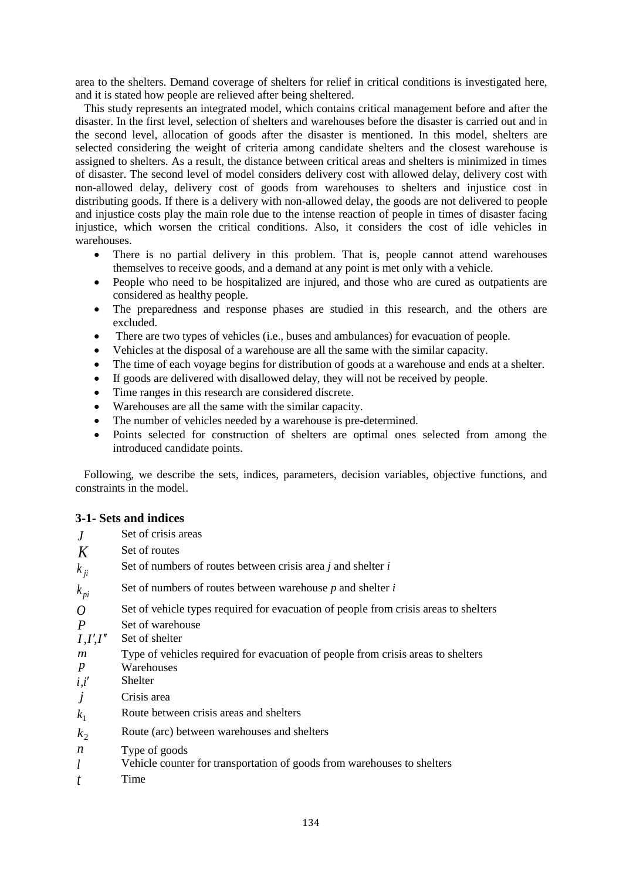area to the shelters. Demand coverage of shelters for relief in critical conditions is investigated here, and it is stated how people are relieved after being sheltered.

 This study represents an integrated model, which contains critical management before and after the disaster. In the first level, selection of shelters and warehouses before the disaster is carried out and in the second level, allocation of goods after the disaster is mentioned. In this model, shelters are selected considering the weight of criteria among candidate shelters and the closest warehouse is assigned to shelters. As a result, the distance between critical areas and shelters is minimized in times of disaster. The second level of model considers delivery cost with allowed delay, delivery cost with non-allowed delay, delivery cost of goods from warehouses to shelters and injustice cost in distributing goods. If there is a delivery with non-allowed delay, the goods are not delivered to people and injustice costs play the main role due to the intense reaction of people in times of disaster facing injustice, which worsen the critical conditions. Also, it considers the cost of idle vehicles in warehouses.

- There is no partial delivery in this problem. That is, people cannot attend warehouses themselves to receive goods, and a demand at any point is met only with a vehicle.
- People who need to be hospitalized are injured, and those who are cured as outpatients are considered as healthy people.
- The preparedness and response phases are studied in this research, and the others are excluded.
- There are two types of vehicles (i.e., buses and ambulances) for evacuation of people.
- Vehicles at the disposal of a warehouse are all the same with the similar capacity.
- The time of each voyage begins for distribution of goods at a warehouse and ends at a shelter.
- If goods are delivered with disallowed delay, they will not be received by people.
- Time ranges in this research are considered discrete.
- Warehouses are all the same with the similar capacity.
- The number of vehicles needed by a warehouse is pre-determined.
- Points selected for construction of shelters are optimal ones selected from among the introduced candidate points.

 Following, we describe the sets, indices, parameters, decision variables, objective functions, and constraints in the model.

### **3-1- Sets and indices**

| J                | Set of crisis areas                                                                  |
|------------------|--------------------------------------------------------------------------------------|
| K                | Set of routes                                                                        |
| $k_{ii}$         | Set of numbers of routes between crisis area $j$ and shelter $i$                     |
| $k_{pi}$         | Set of numbers of routes between warehouse $p$ and shelter $i$                       |
| $\overline{O}$   | Set of vehicle types required for evacuation of people from crisis areas to shelters |
| $\boldsymbol{P}$ | Set of warehouse                                                                     |
| I, I', I''       | Set of shelter                                                                       |
| m                | Type of vehicles required for evacuation of people from crisis areas to shelters     |
| $\boldsymbol{p}$ | Warehouses                                                                           |
| i, i'            | <b>Shelter</b>                                                                       |
| $\dot{J}$        | Crisis area                                                                          |
| $k_1$            | Route between crisis areas and shelters                                              |
| $k_{2}$          | Route (arc) between warehouses and shelters                                          |
| $\boldsymbol{n}$ | Type of goods                                                                        |
| l                | Vehicle counter for transportation of goods from warehouses to shelters              |
|                  | Time                                                                                 |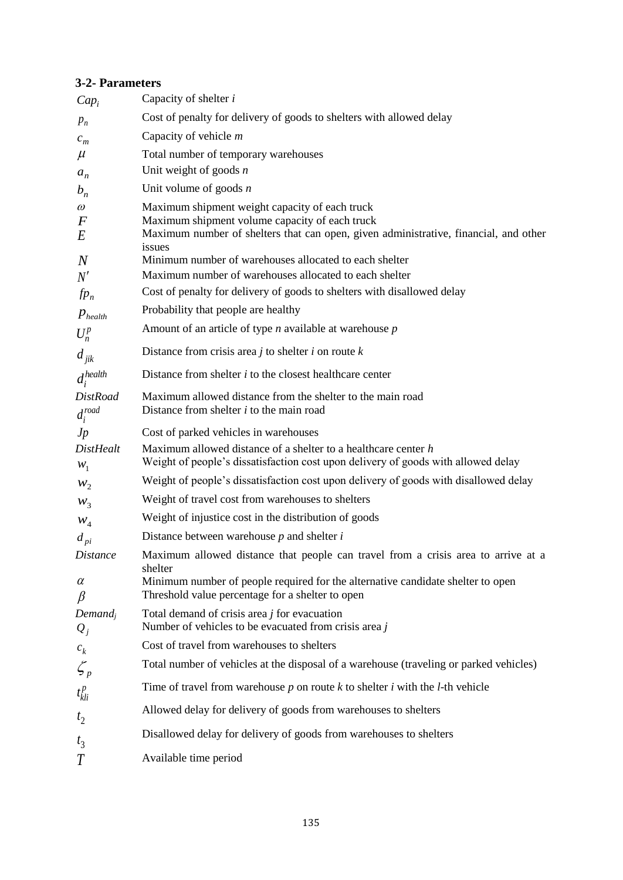### **3-2- Parameters**

| $Cap_i$                         | Capacity of shelter <i>i</i>                                                                                                                          |
|---------------------------------|-------------------------------------------------------------------------------------------------------------------------------------------------------|
| $p_n$                           | Cost of penalty for delivery of goods to shelters with allowed delay                                                                                  |
| $c_m$                           | Capacity of vehicle $m$                                                                                                                               |
| $\mu$                           | Total number of temporary warehouses                                                                                                                  |
| $a_n$                           | Unit weight of goods $n$                                                                                                                              |
| $b_n$                           | Unit volume of goods $n$                                                                                                                              |
| $\omega$                        | Maximum shipment weight capacity of each truck                                                                                                        |
| $\bm{F}$<br>E                   | Maximum shipment volume capacity of each truck<br>Maximum number of shelters that can open, given administrative, financial, and other<br>issues      |
| $\boldsymbol{N}$                | Minimum number of warehouses allocated to each shelter                                                                                                |
| N'                              | Maximum number of warehouses allocated to each shelter                                                                                                |
| $fp_n$                          | Cost of penalty for delivery of goods to shelters with disallowed delay                                                                               |
| $p_{\text{health}}$             | Probability that people are healthy                                                                                                                   |
| $U_n^p$                         | Amount of an article of type $n$ available at warehouse $p$                                                                                           |
| $d_{\scriptstyle\it jik}$       | Distance from crisis area $j$ to shelter $i$ on route $k$                                                                                             |
| $d_i^{health}$                  | Distance from shelter $i$ to the closest healthcare center                                                                                            |
| <b>DistRoad</b><br>$d_i^{road}$ | Maximum allowed distance from the shelter to the main road<br>Distance from shelter $i$ to the main road                                              |
| Jp                              | Cost of parked vehicles in warehouses                                                                                                                 |
| <b>DistHealt</b><br>$W_1$       | Maximum allowed distance of a shelter to a healthcare center $h$<br>Weight of people's dissatisfaction cost upon delivery of goods with allowed delay |
| $W_2$                           | Weight of people's dissatisfaction cost upon delivery of goods with disallowed delay                                                                  |
| $W_3$                           | Weight of travel cost from warehouses to shelters                                                                                                     |
| $W_4$                           | Weight of injustice cost in the distribution of goods                                                                                                 |
| $d_{pi}$                        | Distance between warehouse $p$ and shelter $i$                                                                                                        |
| <b>Distance</b>                 | Maximum allowed distance that people can travel from a crisis area to arrive at a<br>shelter                                                          |
| $\alpha$<br>$\beta$             | Minimum number of people required for the alternative candidate shelter to open<br>Threshold value percentage for a shelter to open                   |
| $Demand_i$                      | Total demand of crisis area $j$ for evacuation                                                                                                        |
| $Q_j$                           | Number of vehicles to be evacuated from crisis area $j$                                                                                               |
| $\boldsymbol{c}_k$              | Cost of travel from warehouses to shelters                                                                                                            |
| $\mathcal{L}_{p}$               | Total number of vehicles at the disposal of a warehouse (traveling or parked vehicles)                                                                |
| $t_{kli}^p$                     | Time of travel from warehouse $p$ on route $k$ to shelter $i$ with the $l$ -th vehicle                                                                |
| t <sub>2</sub>                  | Allowed delay for delivery of goods from warehouses to shelters                                                                                       |
| $t_3$                           | Disallowed delay for delivery of goods from warehouses to shelters                                                                                    |
| T                               | Available time period                                                                                                                                 |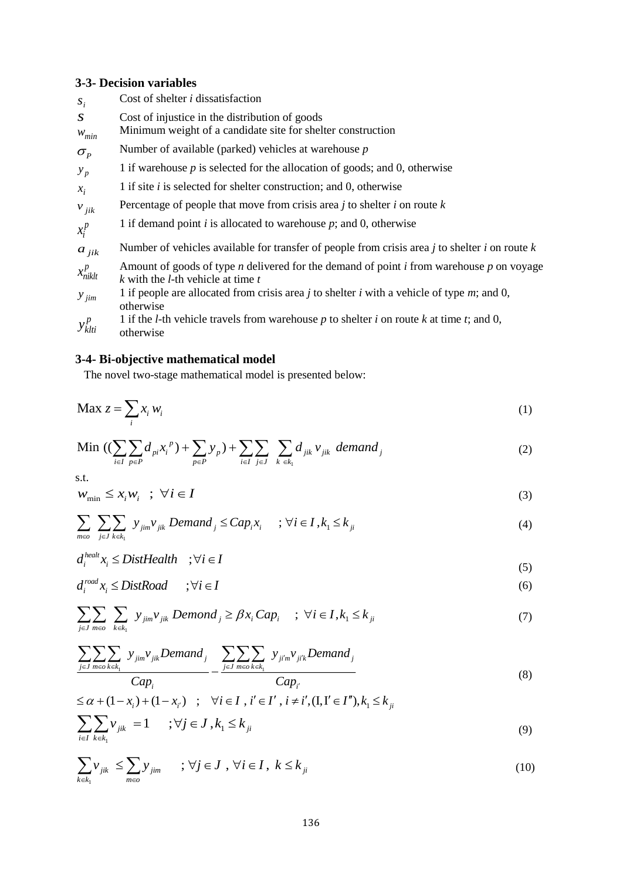# **3-3- Decision variables**

| $S_i$                            | Cost of shelter $i$ dissatisfaction                                                                                                              |
|----------------------------------|--------------------------------------------------------------------------------------------------------------------------------------------------|
| S<br>$W_{min}$                   | Cost of injustice in the distribution of goods<br>Minimum weight of a candidate site for shelter construction                                    |
| $\sigma_{\scriptscriptstyle{P}}$ | Number of available (parked) vehicles at warehouse $p$                                                                                           |
| $y_p$                            | 1 if warehouse $p$ is selected for the allocation of goods; and 0, otherwise                                                                     |
| $x_i$                            | 1 if site $i$ is selected for shelter construction; and 0, otherwise                                                                             |
| $v_{jik}$                        | Percentage of people that move from crisis area $j$ to shelter $i$ on route $k$                                                                  |
| $x_i^p$                          | 1 if demand point $i$ is allocated to warehouse $p$ ; and 0, otherwise                                                                           |
| $a_{jik}$                        | Number of vehicles available for transfer of people from crisis area j to shelter i on route $k$                                                 |
| $x_{niklt}^p$                    | Amount of goods of type <i>n</i> delivered for the demand of point $i$ from warehouse $p$ on voyage<br>k with the <i>l</i> -th vehicle at time t |
| $y_{jim}$                        | 1 if people are allocated from crisis area $j$ to shelter $i$ with a vehicle of type $m$ ; and 0,<br>otherwise                                   |
| $y_{klti}^p$                     | 1 if the <i>l</i> -th vehicle travels from warehouse $p$ to shelter $i$ on route $k$ at time $t$ ; and 0,<br>otherwise                           |

## **3-4- Bi-objective mathematical model**

The novel two-stage mathematical model is presented below:

$$
\text{Max } z = \sum_{i} x_i w_i \tag{1}
$$

Min 
$$
((\sum_{i\in I}\sum_{p\in P}d_{pi}x_i^p)+\sum_{p\in P}y_p)+\sum_{i\in I}\sum_{j\in J}\sum_{k\in k_1}d_{jik}v_{jik}
$$
 demand<sub>j</sub> (2)

s.t.

$$
W_{\min} \leq x_i W_i \quad ; \quad \forall i \in I \tag{3}
$$

$$
\sum_{m \in \sigma} \sum_{j \in J} \sum_{k \in k_1} y_{jim} v_{jik} Demand_j \le Cap_i x_i \quad ; \forall i \in I, k_1 \le k_{ji}
$$
\n
$$
(4)
$$

$$
d_i^{health} x_i \le DistHealth \quad ; \forall i \in I
$$

$$
d_i^{road} x_i \le Dist Road \qquad ; \forall i \in I \tag{6}
$$

$$
\sum_{j\in J} \sum_{m\in\sigma} \sum_{k\in k_1} y_{jim} v_{jik} \text{ Demond}_j \ge \beta x_i \text{Cap}_i \quad ; \ \forall i \in I, k_1 \le k_{ji}
$$
 (7)

$$
\frac{\sum_{j\in J}\sum_{m\in o}\sum_{k\in k_1}y_{jim}v_{jik} Demand_j}{Cap_i} - \frac{\sum_{j\in J}\sum_{m\in o}\sum_{k\in k_1}y_{jim}v_{ji'k}Demand_j}{Cap_i}
$$
(8)

$$
\leq \alpha + (1 - x_i) + (1 - x_{i'}) \quad ; \quad \forall i \in I \text{ , } i' \in I', i \neq i', (I, I' \in I''), k_1 \leq k_{ji}
$$
\n
$$
\sum_{i \in I} \sum_{k \in k_1} v_{jik} = 1 \quad ; \forall j \in J \text{ , } k_1 \leq k_{ji}
$$
\n
$$
(9)
$$

$$
\sum_{k \in k_1} v_{jik} \le \sum_{m \in \omega} y_{jim} \qquad ; \, \forall j \in J \, , \, \forall i \in I \, , \, k \le k_{ji}
$$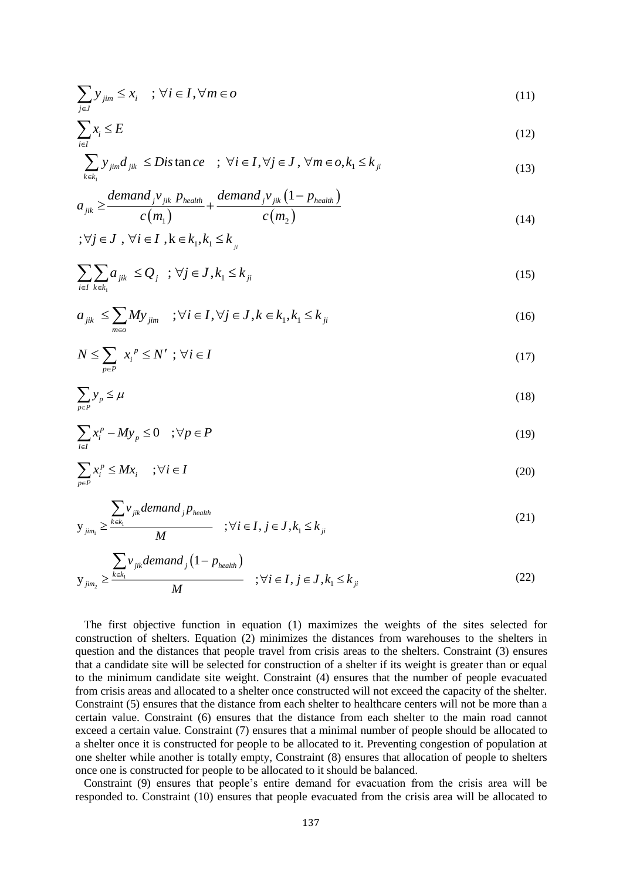$$
\sum_{j \in J} y_{jim} \le x_i \quad ; \, \forall i \in I, \forall m \in o \tag{11}
$$

$$
\sum_{i \in I} x_i \le E \tag{12}
$$

$$
\sum_{k \in k_1} y_{jim} d_{jik} \leq Dis \tan ce \quad ; \ \forall i \in I, \forall j \in J, \ \forall m \in o, k_1 \leq k_{ji}
$$
\n
$$
(13)
$$

$$
a_{jik} \geq \frac{demand_j v_{jik} p_{health}}{c(m_1)} + \frac{demand_j v_{jik} (1 - p_{health})}{c(m_2)}
$$
(14)

$$
;\forall j\in J\text{ , } \forall i\in I\text{ , }k\in k_{i},k_{i}\leq k_{i}
$$

$$
\sum_{i\in I}\sum_{k\in k_1}a_{jik}\leq Q_j\quad;\forall j\in J,k_1\leq k_{ji}
$$
\n
$$
(15)
$$

$$
a_{ijk} \le \sum_{m \in \omega} M y_{jim} \quad ; \forall i \in I, \forall j \in J, k \in k_1, k_1 \le k_{ji}
$$
\n
$$
(16)
$$

$$
N \le \sum_{p \in P} x_i^p \le N' ; \forall i \in I
$$
 (17)

$$
\sum_{p \in P} y_p \le \mu \tag{18}
$$

$$
\sum_{i \in I} x_i^p - My_p \le 0 \quad ; \forall p \in P
$$
 (19)

$$
\sum_{p \in P} x_i^p \le M x_i \quad ; \forall i \in I \tag{20}
$$

$$
y_{jim_1} \ge \frac{\sum_{k \in k_1} v_{jik} demand_j p_{\text{health}}}{M} \quad ; \forall i \in I, j \in J, k_1 \le k_{ji}
$$
 (21)

$$
y_{jim_2} \ge \frac{\sum_{k \in k_1} v_{jik} demand_j (1 - p_{\text{health}})}{M} \quad ; \forall i \in I, j \in J, k_1 \le k_{ji}
$$
 (22)

 The first objective function in equation (1) maximizes the weights of the sites selected for construction of shelters. Equation (2) minimizes the distances from warehouses to the shelters in question and the distances that people travel from crisis areas to the shelters. Constraint (3) ensures that a candidate site will be selected for construction of a shelter if its weight is greater than or equal to the minimum candidate site weight. Constraint (4) ensures that the number of people evacuated from crisis areas and allocated to a shelter once constructed will not exceed the capacity of the shelter. Constraint (5) ensures that the distance from each shelter to healthcare centers will not be more than a certain value. Constraint (6) ensures that the distance from each shelter to the main road cannot exceed a certain value. Constraint (7) ensures that a minimal number of people should be allocated to a shelter once it is constructed for people to be allocated to it. Preventing congestion of population at one shelter while another is totally empty, Constraint (8) ensures that allocation of people to shelters once one is constructed for people to be allocated to it should be balanced.

 Constraint (9) ensures that people's entire demand for evacuation from the crisis area will be responded to. Constraint (10) ensures that people evacuated from the crisis area will be allocated to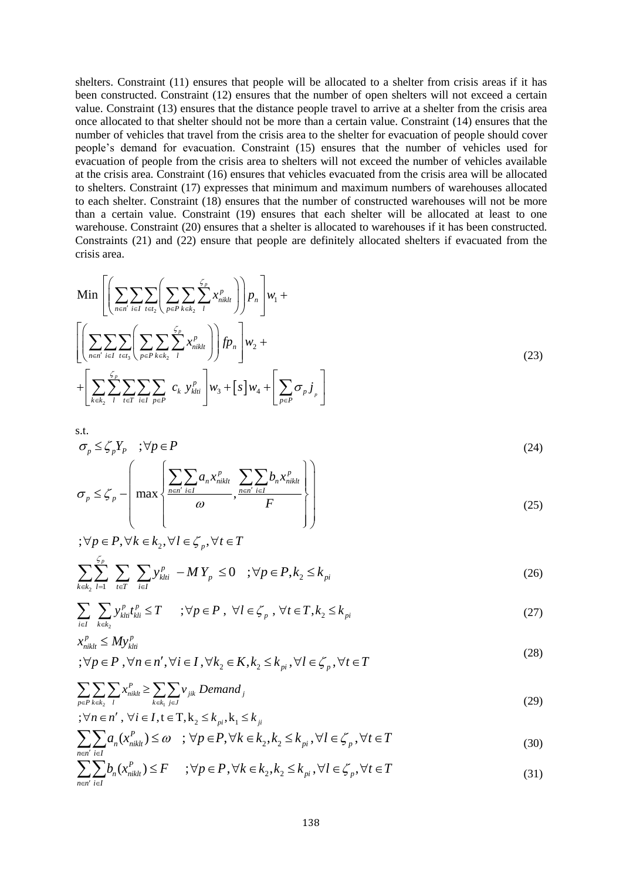shelters. Constraint (11) ensures that people will be allocated to a shelter from crisis areas if it has been constructed. Constraint (12) ensures that the number of open shelters will not exceed a certain value. Constraint (13) ensures that the distance people travel to arrive at a shelter from the crisis area once allocated to that shelter should not be more than a certain value. Constraint (14) ensures that the number of vehicles that travel from the crisis area to the shelter for evacuation of people should cover people's demand for evacuation. Constraint (15) ensures that the number of vehicles used for evacuation of people from the crisis area to shelters will not exceed the number of vehicles available at the crisis area. Constraint (16) ensures that vehicles evacuated from the crisis area will be allocated to shelters. Constraint (17) expresses that minimum and maximum numbers of warehouses allocated to each shelter. Constraint (18) ensures that the number of constructed warehouses will not be more than a certain value. Constraint (19) ensures that each shelter will be allocated at least to one warehouse. Constraint (20) ensures that a shelter is allocated to warehouses if it has been constructed. Constraints (21) and (22) ensure that people are definitely allocated shelters if evacuated from the crisis area.

$$
\begin{split} \n\text{Min} \left[ \left( \sum_{n \in n'} \sum_{i \in I} \sum_{t \in t_2} \left( \sum_{p \in P} \sum_{k \in k_2} \sum_{l} x_{niklt}^p \right) \right) p_n \right] w_1 + \\ \n& \left[ \left( \sum_{n \in n'} \sum_{i \in I} \sum_{t \in t_2} \sum_{l} \sum_{p \in P} \sum_{k \in k_2} \sum_{l} x_{niklt}^p \right) \right] f p_n \right] w_2 + \\ \n& + \left[ \sum_{k \in k_2} \sum_{l} \sum_{t \in T} \sum_{i \in I} \sum_{p \in P} c_k y_{klt}^p \right] w_3 + \left[ s \right] w_4 + \left[ \sum_{p \in P} \sigma_p j \right] \n\end{split} \tag{23}
$$

s.t.

$$
\sigma_p \le \zeta_p Y_p \quad ; \forall p \in P \tag{24}
$$

$$
\sigma_p \leq \zeta_p - \left( \max \left\{ \frac{\sum_{n \in n'} \sum_{i \in I} a_n x_{niklt}^p}{\omega}, \frac{\sum_{n \in n'} \sum_{i \in I} b_n x_{niklt}^p}{F} \right\} \right)
$$
(25)

$$
\forall p \in P, \forall k \in k_2, \forall l \in \mathcal{L}_p, \forall t \in T
$$
  

$$
\sum_{k \in k_2} \sum_{l=1}^{\mathcal{L}_p} \sum_{t \in T} \sum_{i \in I} y_{kli}^p - MY_p \le 0 \quad ; \forall p \in P, k_2 \le k_{pi}
$$
 (26)

$$
\sum_{i\in I} \sum_{k\in k_2} y_{kli}^p t_{kli}^p \le T \qquad ; \forall p \in P \ , \ \forall l \in \mathcal{L}_p \ , \ \forall t \in T, k_2 \le k_{pi} \tag{27}
$$

$$
x_{nikl}^p \le My_{kli}^p
$$
  
\n
$$
\forall p \in P, \forall n \in n', \forall i \in I, \forall k_2 \in K, k_2 \le k_{pi}, \forall l \in \mathcal{L}_p, \forall t \in T
$$
\n(28)

$$
\sum_{p \in P} \sum_{k \in k_2} \sum_{l} x_{niklt}^P \ge \sum_{k \in k_1} \sum_{j \in J} v_{jik} \ Demand_j \tag{29}
$$

$$
;\forall n \in n',\ \forall i \in I, t \in T, k_2 \le k_{pi}, k_1 \le k_{ji}
$$

$$
\sum_{n \in n'} \sum_{i \in I} a_n(x_{niklt}^P) \le \omega \quad ; \, \forall p \in P, \forall k \in k_2, k_2 \le k_{pi}, \forall l \in \mathcal{L}_p, \forall t \in T
$$
\n
$$
(30)
$$

$$
\sum_{n \in n'} \sum_{i \in I} b_n(x_{niklt}^P) \le F \qquad ; \forall p \in P, \forall k \in k_2, k_2 \le k_{pi}, \forall l \in \mathcal{L}_p, \forall t \in T
$$
\n
$$
(31)
$$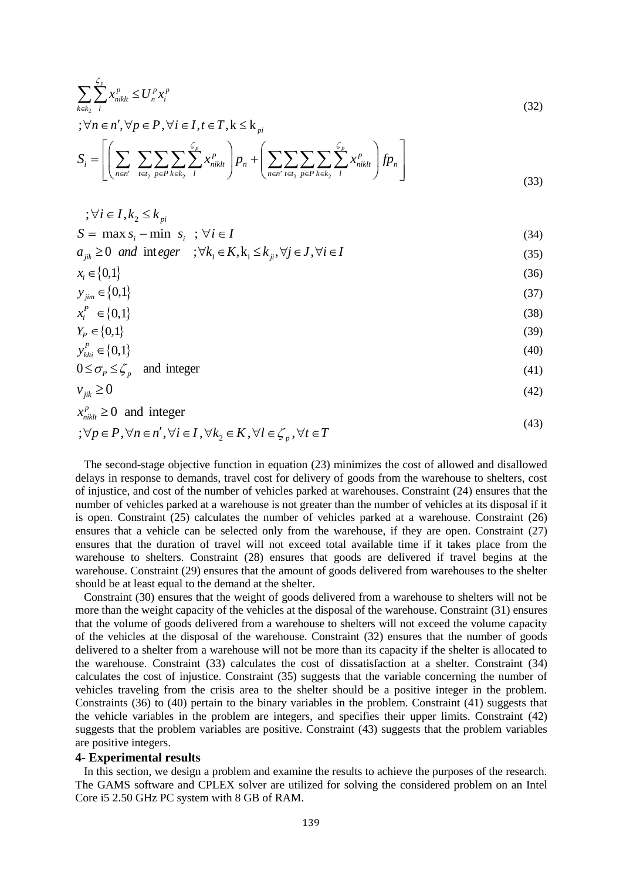$$
\sum_{k \in k_2} \sum_{l}^{f_p} x_{niklt}^p \le U_n^p x_l^p
$$
\n
$$
\vdots \forall n \in n', \forall p \in P, \forall i \in I, t \in T, k \le k_{pi}
$$
\n
$$
S_i = \left[ \left( \sum_{n \in n'} \sum_{t \in t_2} \sum_{p \in P} \sum_{k \in k_2} \sum_{l}^{f_p} x_{niklt}^p \right) p_n + \left( \sum_{n \in n'} \sum_{t \in t_3} \sum_{p \in P} \sum_{k \in k_2} \sum_{l}^{f_p} x_{niklt}^p \right) f p_n \right]
$$
\n(33)

$$
\begin{aligned} \n\therefore \forall i \in I, k_2 \le k_{pi} \\ \n\text{S} = \text{max s} \quad \text{min s} \quad \forall i \in I \n\end{aligned} \n\tag{24}
$$

$$
S = \max s_i - \min s_i \quad ; \quad \forall i \in I
$$
  
\n
$$
a_{ik} \ge 0 \quad and \quad \text{integer} \quad ; \quad \forall k_1 \in K, k_1 \le k_i, \quad \forall j \in J, \quad \forall i \in I
$$
\n
$$
(34)
$$

$$
x_i \in \{0,1\} \tag{36}
$$

$$
y_{\text{sim}} \in \{0,1\} \tag{37}
$$

$$
x_{\text{cm}}^P \in \{0,1\} \tag{38}
$$

$$
x_i \in \{0,1\} \tag{38}
$$
  
\n
$$
Y_P \in \{0,1\} \tag{39}
$$
  
\n
$$
y_{kli}^P \in \{0,1\} \tag{40}
$$

$$
0 \le \sigma_p \le \zeta_p \quad \text{and integer} \tag{41}
$$

$$
v_{jik} \ge 0 \tag{42}
$$

$$
x_{\textit{niklt}}^p \ge 0 \quad \text{and integer} \tag{43}
$$

$$
;\forall p \in P, \forall n \in n', \forall i \in I, \forall k_2 \in K, \forall l \in \mathcal{L}_p, \forall t \in T
$$

 The second-stage objective function in equation (23) minimizes the cost of allowed and disallowed delays in response to demands, travel cost for delivery of goods from the warehouse to shelters, cost of injustice, and cost of the number of vehicles parked at warehouses. Constraint (24) ensures that the number of vehicles parked at a warehouse is not greater than the number of vehicles at its disposal if it is open. Constraint (25) calculates the number of vehicles parked at a warehouse. Constraint (26) ensures that a vehicle can be selected only from the warehouse, if they are open. Constraint (27) ensures that the duration of travel will not exceed total available time if it takes place from the warehouse to shelters. Constraint (28) ensures that goods are delivered if travel begins at the warehouse. Constraint (29) ensures that the amount of goods delivered from warehouses to the shelter should be at least equal to the demand at the shelter.

 Constraint (30) ensures that the weight of goods delivered from a warehouse to shelters will not be more than the weight capacity of the vehicles at the disposal of the warehouse. Constraint (31) ensures that the volume of goods delivered from a warehouse to shelters will not exceed the volume capacity of the vehicles at the disposal of the warehouse. Constraint (32) ensures that the number of goods delivered to a shelter from a warehouse will not be more than its capacity if the shelter is allocated to the warehouse. Constraint (33) calculates the cost of dissatisfaction at a shelter. Constraint (34) calculates the cost of injustice. Constraint (35) suggests that the variable concerning the number of vehicles traveling from the crisis area to the shelter should be a positive integer in the problem. Constraints (36) to (40) pertain to the binary variables in the problem. Constraint (41) suggests that the vehicle variables in the problem are integers, and specifies their upper limits. Constraint (42) suggests that the problem variables are positive. Constraint (43) suggests that the problem variables are positive integers.

#### **4- Experimental results**

 In this section, we design a problem and examine the results to achieve the purposes of the research. The GAMS software and CPLEX solver are utilized for solving the considered problem on an Intel Core i5 2.50 GHz PC system with 8 GB of RAM.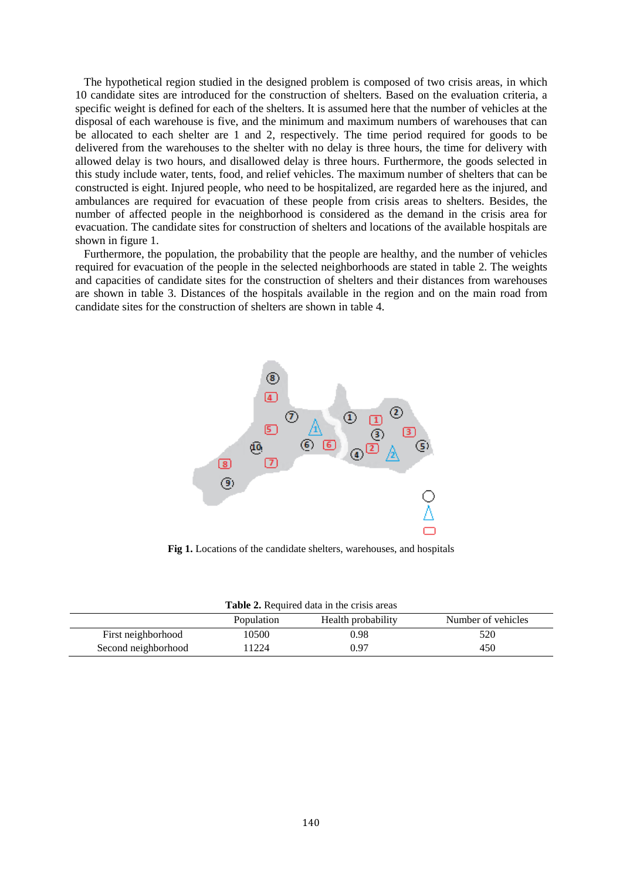The hypothetical region studied in the designed problem is composed of two crisis areas, in which 10 candidate sites are introduced for the construction of shelters. Based on the evaluation criteria, a specific weight is defined for each of the shelters. It is assumed here that the number of vehicles at the disposal of each warehouse is five, and the minimum and maximum numbers of warehouses that can be allocated to each shelter are 1 and 2, respectively. The time period required for goods to be delivered from the warehouses to the shelter with no delay is three hours, the time for delivery with allowed delay is two hours, and disallowed delay is three hours. Furthermore, the goods selected in this study include water, tents, food, and relief vehicles. The maximum number of shelters that can be constructed is eight. Injured people, who need to be hospitalized, are regarded here as the injured, and ambulances are required for evacuation of these people from crisis areas to shelters. Besides, the number of affected people in the neighborhood is considered as the demand in the crisis area for evacuation. The candidate sites for construction of shelters and locations of the available hospitals are shown in figure 1.

 Furthermore, the population, the probability that the people are healthy, and the number of vehicles required for evacuation of the people in the selected neighborhoods are stated in table 2. The weights and capacities of candidate sites for the construction of shelters and their distances from warehouses are shown in table 3. Distances of the hospitals available in the region and on the main road from candidate sites for the construction of shelters are shown in table 4.



**Fig 1.** Locations of the candidate shelters, warehouses, and hospitals

| <b>Table 2.</b> Required data in the crisis areas      |       |      |     |  |  |  |  |  |
|--------------------------------------------------------|-------|------|-----|--|--|--|--|--|
| Number of vehicles<br>Health probability<br>Population |       |      |     |  |  |  |  |  |
| First neighborhood                                     | 10500 | 0.98 | 520 |  |  |  |  |  |
| Second neighborhood                                    | 11224 | 0.97 | 450 |  |  |  |  |  |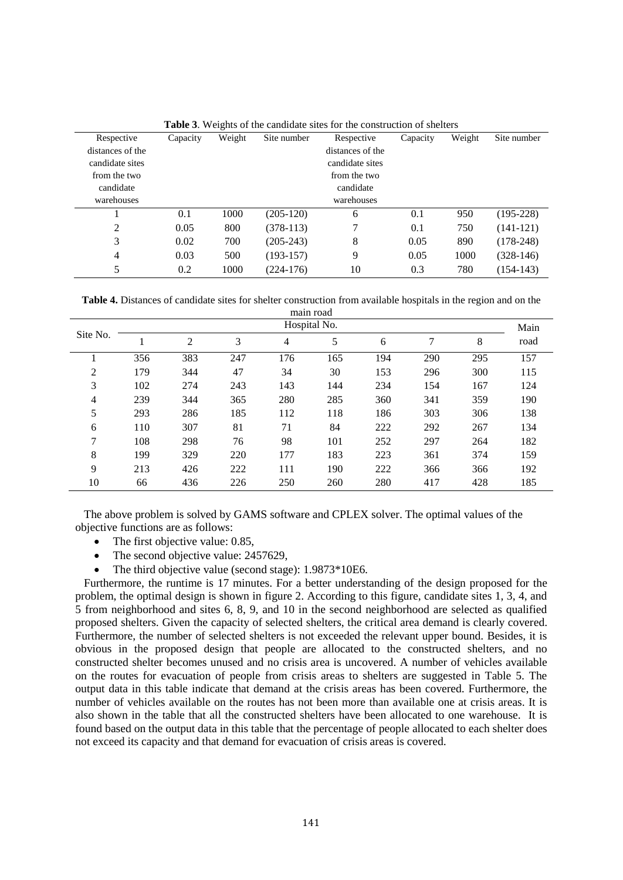| Respective       | Capacity | ັ<br>Weight | Site number | Respective       | Capacity | Weight | Site number |
|------------------|----------|-------------|-------------|------------------|----------|--------|-------------|
| distances of the |          |             |             | distances of the |          |        |             |
| candidate sites  |          |             |             | candidate sites  |          |        |             |
| from the two     |          |             |             | from the two     |          |        |             |
| candidate        |          |             |             | candidate        |          |        |             |
| warehouses       |          |             |             | warehouses       |          |        |             |
|                  | 0.1      | 1000        | $(205-120)$ | 6                | 0.1      | 950    | $(195-228)$ |
| 2                | 0.05     | 800         | $(378-113)$ | 7                | 0.1      | 750    | $(141-121)$ |
| 3                | 0.02     | 700         | $(205-243)$ | 8                | 0.05     | 890    | $(178-248)$ |
| 4                | 0.03     | 500         | $(193-157)$ | 9                | 0.05     | 1000   | $(328-146)$ |
| 5                | 0.2      | 1000        | $(224-176)$ | 10               | 0.3      | 780    | $(154-143)$ |

**Table 3**. Weights of the candidate sites for the construction of shelters

**Table 4.** Distances of candidate sites for shelter construction from available hospitals in the region and on the

|          | Hospital No. |     |     |     |     |     |     |     | Main |
|----------|--------------|-----|-----|-----|-----|-----|-----|-----|------|
| Site No. |              | 2   | 3   | 4   | 5   | 6   | 7   | 8   | road |
|          | 356          | 383 | 247 | 176 | 165 | 194 | 290 | 295 | 157  |
| 2        | 179          | 344 | 47  | 34  | 30  | 153 | 296 | 300 | 115  |
| 3        | 102          | 274 | 243 | 143 | 144 | 234 | 154 | 167 | 124  |
| 4        | 239          | 344 | 365 | 280 | 285 | 360 | 341 | 359 | 190  |
| 5        | 293          | 286 | 185 | 112 | 118 | 186 | 303 | 306 | 138  |
| 6        | 110          | 307 | 81  | 71  | 84  | 222 | 292 | 267 | 134  |
| 7        | 108          | 298 | 76  | 98  | 101 | 252 | 297 | 264 | 182  |
| 8        | 199          | 329 | 220 | 177 | 183 | 223 | 361 | 374 | 159  |
| 9        | 213          | 426 | 222 | 111 | 190 | 222 | 366 | 366 | 192  |
| 10       | 66           | 436 | 226 | 250 | 260 | 280 | 417 | 428 | 185  |

 The above problem is solved by GAMS software and CPLEX solver. The optimal values of the objective functions are as follows:

- The first objective value: 0.85,
- The second objective value: 2457629,
- The third objective value (second stage):  $1.9873*10E6$ .

 Furthermore, the runtime is 17 minutes. For a better understanding of the design proposed for the problem, the optimal design is shown in figure 2. According to this figure, candidate sites 1, 3, 4, and 5 from neighborhood and sites 6, 8, 9, and 10 in the second neighborhood are selected as qualified proposed shelters. Given the capacity of selected shelters, the critical area demand is clearly covered. Furthermore, the number of selected shelters is not exceeded the relevant upper bound. Besides, it is obvious in the proposed design that people are allocated to the constructed shelters, and no constructed shelter becomes unused and no crisis area is uncovered. A number of vehicles available on the routes for evacuation of people from crisis areas to shelters are suggested in Table 5. The output data in this table indicate that demand at the crisis areas has been covered. Furthermore, the number of vehicles available on the routes has not been more than available one at crisis areas. It is also shown in the table that all the constructed shelters have been allocated to one warehouse. It is found based on the output data in this table that the percentage of people allocated to each shelter does not exceed its capacity and that demand for evacuation of crisis areas is covered.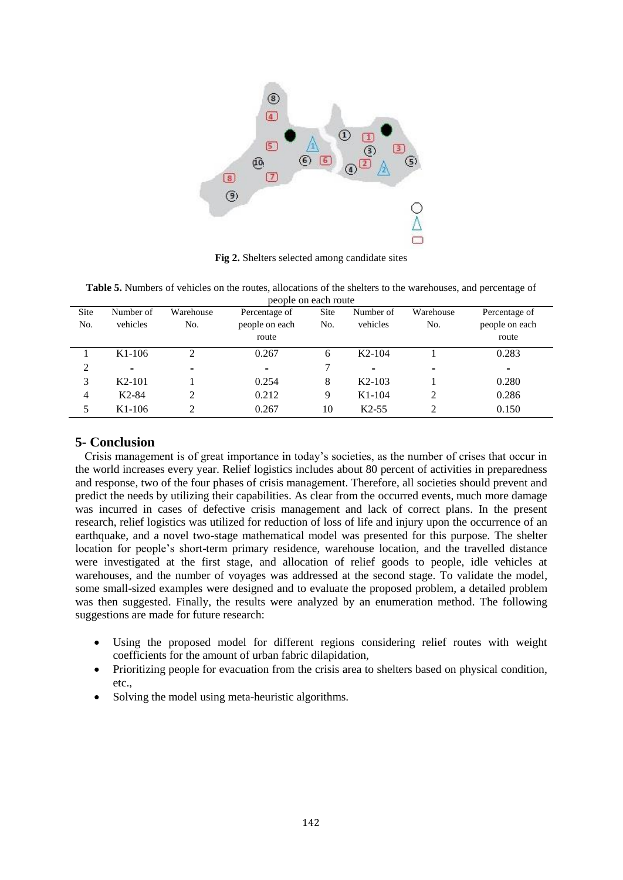

**Fig 2.** Shelters selected among candidate sites

| <b>Table 5.</b> Numbers of vehicles on the routes, allocations of the shelters to the warehouses, and percentage of |
|---------------------------------------------------------------------------------------------------------------------|
| people on each route                                                                                                |

| Site | Number of                | Warehouse                | Percentage of  | Site | Number of                | Warehouse                | Percentage of            |
|------|--------------------------|--------------------------|----------------|------|--------------------------|--------------------------|--------------------------|
| No.  | vehicles                 | No.                      | people on each | No.  | vehicles                 | No.                      | people on each           |
|      |                          |                          | route          |      |                          |                          | route                    |
|      | $K1-106$                 |                          | 0.267          | 6    | $K2-104$                 |                          | 0.283                    |
| 2    | $\overline{\phantom{0}}$ | $\overline{\phantom{0}}$ | $\blacksquare$ |      | $\overline{\phantom{0}}$ | $\overline{\phantom{0}}$ | $\overline{\phantom{0}}$ |
| 3    | $K2-101$                 |                          | 0.254          | 8    | $K2-103$                 |                          | 0.280                    |
| 4    | $K2-84$                  |                          | 0.212          | 9    | $K1-104$                 | 2                        | 0.286                    |
| 5    | $K1-106$                 |                          | 0.267          | 10   | $K2-55$                  | ↑                        | 0.150                    |

### **5- Conclusion**

 Crisis management is of great importance in today's societies, as the number of crises that occur in the world increases every year. Relief logistics includes about 80 percent of activities in preparedness and response, two of the four phases of crisis management. Therefore, all societies should prevent and predict the needs by utilizing their capabilities. As clear from the occurred events, much more damage was incurred in cases of defective crisis management and lack of correct plans. In the present research, relief logistics was utilized for reduction of loss of life and injury upon the occurrence of an earthquake, and a novel two-stage mathematical model was presented for this purpose. The shelter location for people's short-term primary residence, warehouse location, and the travelled distance were investigated at the first stage, and allocation of relief goods to people, idle vehicles at warehouses, and the number of voyages was addressed at the second stage. To validate the model, some small-sized examples were designed and to evaluate the proposed problem, a detailed problem was then suggested. Finally, the results were analyzed by an enumeration method. The following suggestions are made for future research:

- Using the proposed model for different regions considering relief routes with weight coefficients for the amount of urban fabric dilapidation,
- Prioritizing people for evacuation from the crisis area to shelters based on physical condition, etc.,
- Solving the model using meta-heuristic algorithms.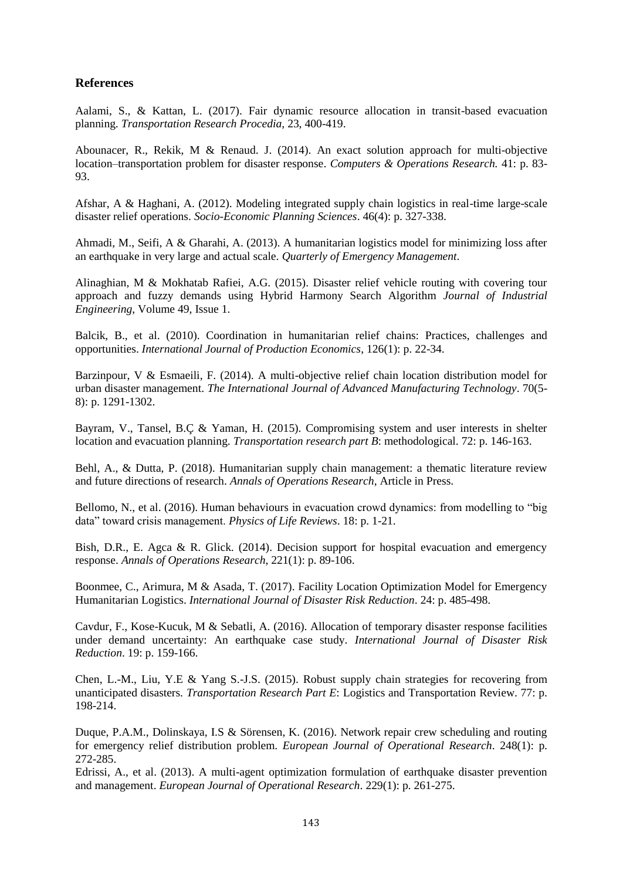### **References**

Aalami, S., & Kattan, L. (2017). Fair dynamic resource allocation in transit-based evacuation planning. *Transportation Research Procedia*, 23, 400-419.

Abounacer, R., Rekik, M & Renaud. J. (2014). An exact solution approach for multi-objective location–transportation problem for disaster response. *Computers & Operations Research.* 41: p. 83- 93.

Afshar, A & Haghani, A. (2012). Modeling integrated supply chain logistics in real-time large-scale disaster relief operations. *Socio-Economic Planning Sciences*. 46(4): p. 327-338.

Ahmadi, M., Seifi, A & Gharahi, A. (2013). A humanitarian logistics model for minimizing loss after an earthquake in very large and actual scale. *Quarterly of Emergency Management*.

Alinaghian, M & Mokhatab Rafiei, A.G. (2015). Disaster relief vehicle routing with covering tour approach and fuzzy demands using Hybrid Harmony Search Algorithm *Journal of Industrial Engineering*, Volume 49, Issue 1.

Balcik, B., et al. (2010). Coordination in humanitarian relief chains: Practices, challenges and opportunities. *International Journal of Production Economics*, 126(1): p. 22-34.

Barzinpour, V & Esmaeili, F. (2014). A multi-objective relief chain location distribution model for urban disaster management. *The International Journal of Advanced Manufacturing Technology*. 70(5- 8): p. 1291-1302.

Bayram, V., Tansel, B.Ç & Yaman, H. (2015). Compromising system and user interests in shelter location and evacuation planning. *Transportation research part B*: methodological. 72: p. 146-163.

Behl, A., & Dutta, P. (2018). Humanitarian supply chain management: a thematic literature review and future directions of research. *Annals of Operations Research*, Article in Press.

Bellomo, N., et al. (2016). Human behaviours in evacuation crowd dynamics: from modelling to "big data" toward crisis management. *Physics of Life Reviews*. 18: p. 1-21.

Bish, D.R., E. Agca & R. Glick. (2014). Decision support for hospital evacuation and emergency response. *Annals of Operations Research*, 221(1): p. 89-106.

Boonmee, C., Arimura, M & Asada, T. (2017). Facility Location Optimization Model for Emergency Humanitarian Logistics. *International Journal of Disaster Risk Reduction*. 24: p. 485-498.

Cavdur, F., Kose-Kucuk, M & Sebatli, A. (2016). Allocation of temporary disaster response facilities under demand uncertainty: An earthquake case study. *International Journal of Disaster Risk Reduction*. 19: p. 159-166.

Chen, L.-M., Liu, Y.E & Yang S.-J.S. (2015). Robust supply chain strategies for recovering from unanticipated disasters. *Transportation Research Part E*: Logistics and Transportation Review. 77: p. 198-214.

Duque, P.A.M., Dolinskaya, I.S & Sörensen, K. (2016). Network repair crew scheduling and routing for emergency relief distribution problem. *European Journal of Operational Research*. 248(1): p. 272-285.

Edrissi, A., et al. (2013). A multi-agent optimization formulation of earthquake disaster prevention and management. *European Journal of Operational Research*. 229(1): p. 261-275.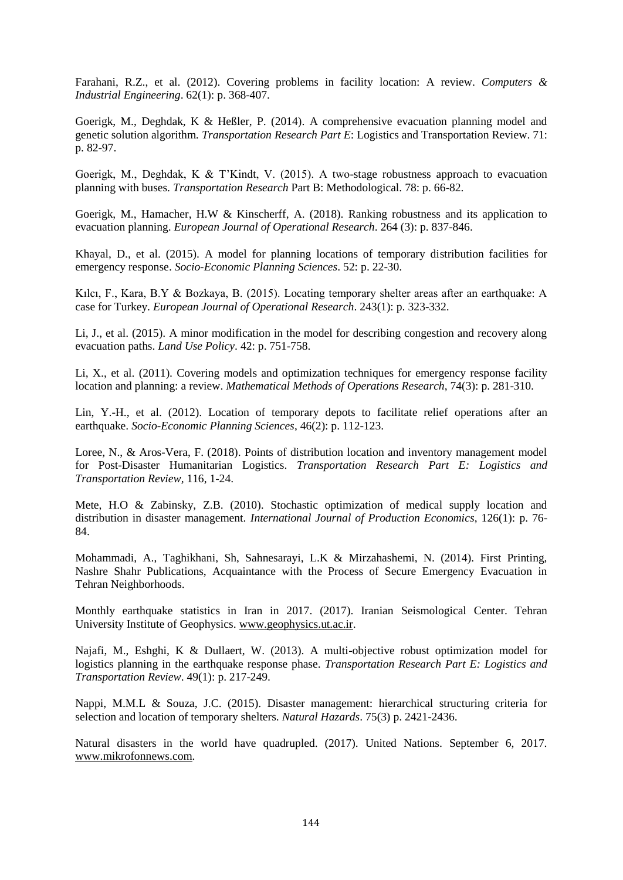Farahani, R.Z., et al. (2012). Covering problems in facility location: A review. *Computers & Industrial Engineering*. 62(1): p. 368-407.

Goerigk, M., Deghdak, K & Heßler, P. (2014). A comprehensive evacuation planning model and genetic solution algorithm. *Transportation Research Part E*: Logistics and Transportation Review. 71: p. 82-97.

Goerigk, M., Deghdak, K & T'Kindt, V. (2015). A two-stage robustness approach to evacuation planning with buses. *Transportation Research* Part B: Methodological. 78: p. 66-82.

Goerigk, M., Hamacher, H.W & Kinscherff, A. (2018). Ranking robustness and its application to evacuation planning. *European Journal of Operational Research*. 264 (3): p. 837-846.

Khayal, D., et al. (2015). A model for planning locations of temporary distribution facilities for emergency response. *Socio-Economic Planning Sciences*. 52: p. 22-30.

Kılcı, F., Kara, B.Y & Bozkaya, B. (2015). Locating temporary shelter areas after an earthquake: A case for Turkey. *European Journal of Operational Research*. 243(1): p. 323-332.

Li, J., et al. (2015). A minor modification in the model for describing congestion and recovery along evacuation paths. *Land Use Policy*. 42: p. 751-758.

Li, X., et al. (2011). Covering models and optimization techniques for emergency response facility location and planning: a review. *Mathematical Methods of Operations Research*, 74(3): p. 281-310.

Lin, Y.-H., et al. (2012). Location of temporary depots to facilitate relief operations after an earthquake. *Socio-Economic Planning Sciences*, 46(2): p. 112-123.

Loree, N., & Aros-Vera, F. (2018). Points of distribution location and inventory management model for Post-Disaster Humanitarian Logistics. *Transportation Research Part E: Logistics and Transportation Review,* 116, 1-24.

Mete, H.O & Zabinsky, Z.B. (2010). Stochastic optimization of medical supply location and distribution in disaster management. *International Journal of Production Economics*, 126(1): p. 76- 84.

Mohammadi, A., Taghikhani, Sh, Sahnesarayi, L.K & Mirzahashemi, N. (2014). First Printing, Nashre Shahr Publications, Acquaintance with the Process of Secure Emergency Evacuation in Tehran Neighborhoods.

Monthly earthquake statistics in Iran in 2017. (2017). Iranian Seismological Center. Tehran University Institute of Geophysics[. www.geophysics.ut.ac.ir.](http://www.geophysics.ut.ac.ir/)

Najafi, M., Eshghi, K & Dullaert, W. (2013). A multi-objective robust optimization model for logistics planning in the earthquake response phase. *Transportation Research Part E: Logistics and Transportation Review*. 49(1): p. 217-249.

Nappi, M.M.L & Souza, J.C. (2015). Disaster management: hierarchical structuring criteria for selection and location of temporary shelters. *Natural Hazards*. 75(3) p. 2421-2436.

Natural disasters in the world have quadrupled. (2017). United Nations. September 6, 2017. [www.mikrofonnews.com.](http://www.mikrofonnews.com/)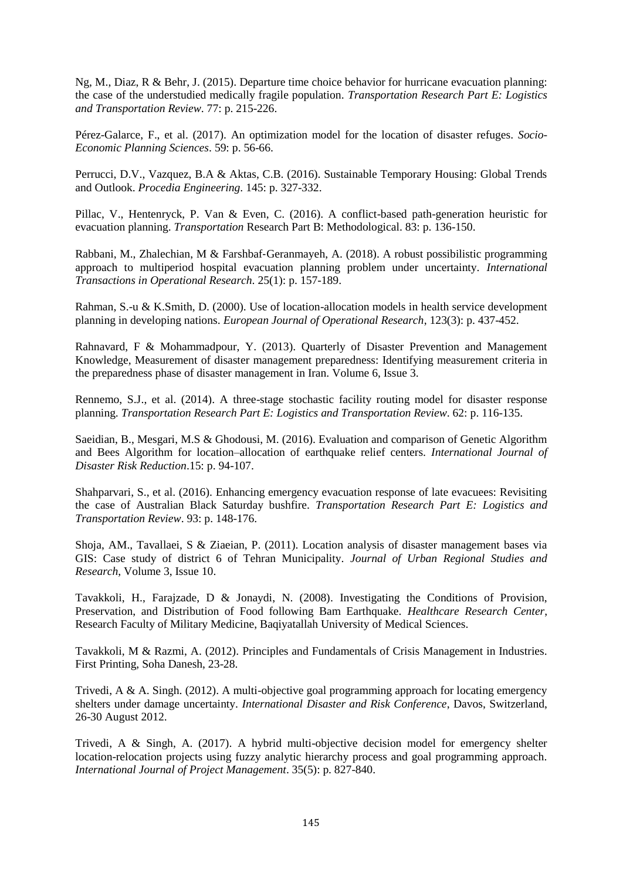Ng, M., Diaz, R & Behr, J. (2015). Departure time choice behavior for hurricane evacuation planning: the case of the understudied medically fragile population. *Transportation Research Part E: Logistics and Transportation Review*. 77: p. 215-226.

Pérez-Galarce, F., et al. (2017). An optimization model for the location of disaster refuges. *Socio-Economic Planning Sciences*. 59: p. 56-66.

Perrucci, D.V., Vazquez, B.A & Aktas, C.B. (2016). Sustainable Temporary Housing: Global Trends and Outlook. *Procedia Engineering*. 145: p. 327-332.

Pillac, V., Hentenryck, P. Van & Even, C. (2016). A conflict-based path-generation heuristic for evacuation planning. *Transportation* Research Part B: Methodological. 83: p. 136-150.

Rabbani, M., Zhalechian, M & Farshbaf‐Geranmayeh, A. (2018). A robust possibilistic programming approach to multiperiod hospital evacuation planning problem under uncertainty. *International Transactions in Operational Research*. 25(1): p. 157-189.

Rahman, S.-u & K.Smith, D. (2000). Use of location-allocation models in health service development planning in developing nations. *European Journal of Operational Research*, 123(3): p. 437-452.

Rahnavard, F & Mohammadpour, Y. (2013). Quarterly of Disaster Prevention and Management Knowledge, Measurement of disaster management preparedness: Identifying measurement criteria in the preparedness phase of disaster management in Iran. Volume 6, Issue 3.

Rennemo, S.J., et al. (2014). A three-stage stochastic facility routing model for disaster response planning. *Transportation Research Part E: Logistics and Transportation Review*. 62: p. 116-135.

Saeidian, B., Mesgari, M.S & Ghodousi, M. (2016). Evaluation and comparison of Genetic Algorithm and Bees Algorithm for location–allocation of earthquake relief centers. *International Journal of Disaster Risk Reduction*.15: p. 94-107.

Shahparvari, S., et al. (2016). Enhancing emergency evacuation response of late evacuees: Revisiting the case of Australian Black Saturday bushfire. *Transportation Research Part E: Logistics and Transportation Review*. 93: p. 148-176.

Shoja, AM., Tavallaei, S & Ziaeian, P. (2011). Location analysis of disaster management bases via GIS: Case study of district 6 of Tehran Municipality. *Journal of Urban Regional Studies and Research*, Volume 3, Issue 10.

Tavakkoli, H., Farajzade, D & Jonaydi, N. (2008). Investigating the Conditions of Provision, Preservation, and Distribution of Food following Bam Earthquake. *Healthcare Research Center*, Research Faculty of Military Medicine, Baqiyatallah University of Medical Sciences.

Tavakkoli, M & Razmi, A. (2012). Principles and Fundamentals of Crisis Management in Industries. First Printing, Soha Danesh, 23-28.

Trivedi, A & A. Singh. (2012). A multi-objective goal programming approach for locating emergency shelters under damage uncertainty. *International Disaster and Risk Conference*, Davos, Switzerland, 26-30 August 2012.

Trivedi, A & Singh, A. (2017). A hybrid multi-objective decision model for emergency shelter location-relocation projects using fuzzy analytic hierarchy process and goal programming approach. *International Journal of Project Management*. 35(5): p. 827-840.